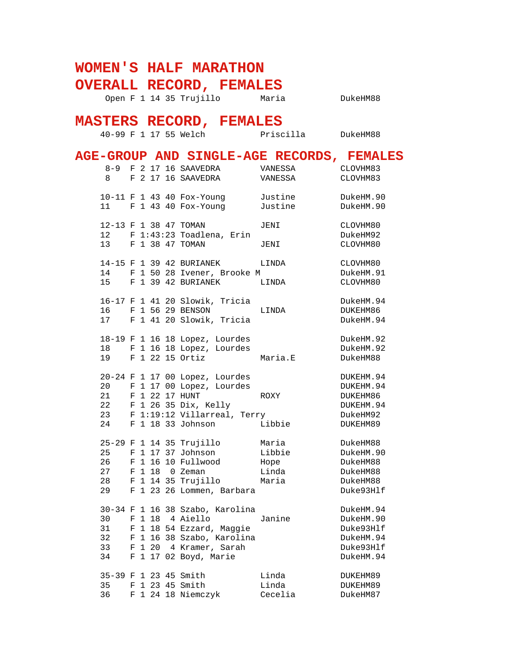## **WOMEN'S HALF MARATHON**

**OVERALL RECORD, FEMALES**

Open F 1 14 35 Trujillo Maria ChukeHM88

## **MASTERS RECORD, FEMALES**

40-99 F 1 17 55 Welch Priscilla DukeHM88

|                            |  | AGE-GROUP AND SINGLE-AGE RECORDS, FEMALES                                                                                                                            |                                           |                                                                            |
|----------------------------|--|----------------------------------------------------------------------------------------------------------------------------------------------------------------------|-------------------------------------------|----------------------------------------------------------------------------|
| 8                          |  | 8-9 F 2 17 16 SAAVEDRA<br>F 2 17 16 SAAVEDRA                                                                                                                         | VANESSA<br>VANESSA                        | CLOVHM83<br>CLOVHM83                                                       |
|                            |  | 10-11 F 1 43 40 Fox-Young<br>11 F 1 43 40 Fox-Young                                                                                                                  | Justine<br>Justine                        | DukeHM.90<br>DukeHM.90                                                     |
| 12 <sup>12</sup>           |  | 12-13 F 1 38 47 TOMAN<br>F 1:43:23 Toadlena, Erin<br>13 F 1 38 47 TOMAN                                                                                              | JENI<br>JENI                              | CLOVHM80<br>DukeHM92<br>CLOVHM80                                           |
|                            |  | 14-15 F 1 39 42 BURIANEK<br>14 F 1 50 28 Ivener, Brooke M<br>15 F 1 39 42 BURIANEK                                                                                   | LINDA<br>LINDA                            | CLOVHM80<br>DukeHM.91<br>CLOVHM80                                          |
|                            |  | 16-17 F 1 41 20 Slowik, Tricia<br>16 F 1 56 29 BENSON<br>17 F 1 41 20 Slowik, Tricia                                                                                 | LINDA                                     | DukeHM.94<br>DUKEHM86<br>DukeHM.94                                         |
|                            |  | 18-19 F 1 16 18 Lopez, Lourdes<br>18 F 1 16 18 Lopez, Lourdes<br>19 F 1 22 15 Ortiz                                                                                  | Maria.E                                   | DukeHM.92<br>DukeHM.92<br>DukeHM88                                         |
| 20                         |  | 20-24 F 1 17 00 Lopez, Lourdes<br>F 1 17 00 Lopez, Lourdes<br>21 F 1 22 17 HUNT<br>22 F 1 26 35 Dix, Kelly<br>23 F 1:19:12 Villarreal, Terry<br>24 F 1 18 33 Johnson | ROXY<br>Libbie                            | DUKEHM.94<br>DUKEHM.94<br>DUKEHM86<br>DUKEHM.94<br>DukeHM92<br>DUKEHM89    |
| 25<br>26<br>27<br>28<br>29 |  | 25-29 F 1 14 35 Trujillo<br>F 1 17 37 Johnson<br>F 1 16 10 Fullwood<br>F 1 18 0 Zeman<br>F 1 14 35 Trujillo<br>F 1 23 26 Lommen, Barbara                             | Maria<br>Libbie<br>Hope<br>Linda<br>Maria | DukeHM88<br>DukeHM.90<br>DukeHM88<br>DukeHM88<br>DukeHM88<br>Duke93Hlf     |
| 30<br>31<br>32<br>33<br>34 |  | 30-34 F 1 16 38 Szabo, Karolina<br>F 1 18 4 Aiello<br>F 1 18 54 Ezzard, Maggie<br>F 1 16 38 Szabo, Karolina<br>F 1 20 4 Kramer, Sarah<br>F 1 17 02 Boyd, Marie       | Janine                                    | DukeHM.94<br>DukeHM.90<br>Duke93Hlf<br>DukeHM.94<br>Duke93Hlf<br>DukeHM.94 |
| 35<br>36                   |  | 35-39 F 1 23 45 Smith<br>F 1 23 45 Smith<br>F 1 24 18 Niemczyk                                                                                                       | Linda<br>Linda<br>Cecelia                 | DUKEHM89<br>DUKEHM89<br>DukeHM87                                           |